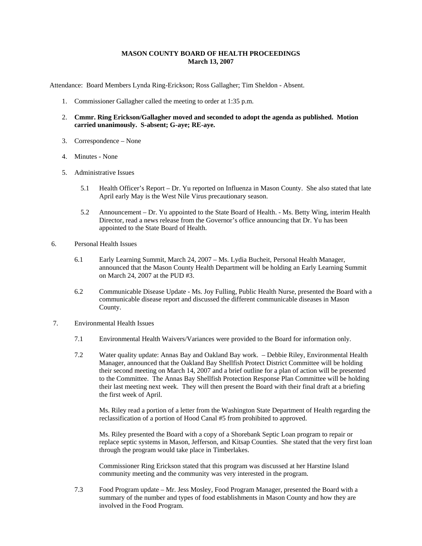## **MASON COUNTY BOARD OF HEALTH PROCEEDINGS March 13, 2007**

Attendance: Board Members Lynda Ring-Erickson; Ross Gallagher; Tim Sheldon - Absent.

- 1. Commissioner Gallagher called the meeting to order at 1:35 p.m.
- 2. **Cmmr. Ring Erickson/Gallagher moved and seconded to adopt the agenda as published. Motion carried unanimously. S-absent; G-aye; RE-aye.**
- 3. Correspondence None
- 4. Minutes None
- 5. Administrative Issues
	- 5.1 Health Officer's Report Dr. Yu reported on Influenza in Mason County. She also stated that late April early May is the West Nile Virus precautionary season.
	- 5.2 Announcement Dr. Yu appointed to the State Board of Health. Ms. Betty Wing, interim Health Director, read a news release from the Governor's office announcing that Dr. Yu has been appointed to the State Board of Health.
- 6. Personal Health Issues
	- 6.1 Early Learning Summit, March 24, 2007 Ms. Lydia Bucheit, Personal Health Manager, announced that the Mason County Health Department will be holding an Early Learning Summit on March 24, 2007 at the PUD #3.
	- 6.2 Communicable Disease Update Ms. Joy Fulling, Public Health Nurse, presented the Board with a communicable disease report and discussed the different communicable diseases in Mason County.
- 7. Environmental Health Issues
	- 7.1 Environmental Health Waivers/Variances were provided to the Board for information only.
	- 7.2 Water quality update: Annas Bay and Oakland Bay work. Debbie Riley, Environmental Health Manager, announced that the Oakland Bay Shellfish Protect District Committee will be holding their second meeting on March 14, 2007 and a brief outline for a plan of action will be presented to the Committee. The Annas Bay Shellfish Protection Response Plan Committee will be holding their last meeting next week. They will then present the Board with their final draft at a briefing the first week of April.

Ms. Riley read a portion of a letter from the Washington State Department of Health regarding the reclassification of a portion of Hood Canal #5 from prohibited to approved.

Ms. Riley presented the Board with a copy of a Shorebank Septic Loan program to repair or replace septic systems in Mason, Jefferson, and Kitsap Counties. She stated that the very first loan through the program would take place in Timberlakes.

Commissioner Ring Erickson stated that this program was discussed at her Harstine Island community meeting and the community was very interested in the program.

7.3 Food Program update – Mr. Jess Mosley, Food Program Manager, presented the Board with a summary of the number and types of food establishments in Mason County and how they are involved in the Food Program.